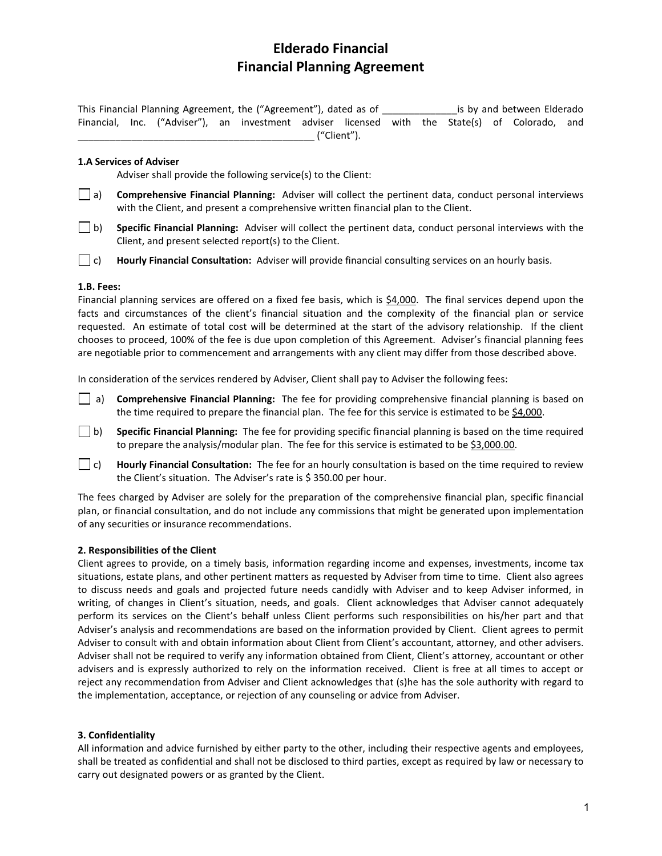# **Elderado Financial Financial Planning Agreement**

This Financial Planning Agreement, the ("Agreement"), dated as of \_\_\_\_\_\_\_\_\_\_\_\_\_\_is by and between Elderado Financial, Inc. ("Adviser"), an investment adviser licensed with the State(s) of Colorado, and \_\_\_\_\_\_\_\_\_\_\_\_\_\_\_\_\_\_\_\_\_\_\_\_\_\_\_\_\_\_\_\_\_\_\_\_\_\_\_\_\_\_\_\_ ("Client").

## **1.A Services of Adviser**

Adviser shall provide the following service(s) to the Client:

- a) **Comprehensive Financial Planning:** Adviser will collect the pertinent data, conduct personal interviews with the Client, and present a comprehensive written financial plan to the Client.
- b) **Specific Financial Planning:** Adviser will collect the pertinent data, conduct personal interviews with the Client, and present selected report(s) to the Client.
- c) **Hourly Financial Consultation:** Adviser will provide financial consulting services on an hourly basis.

## **1.B. Fees:**

Financial planning services are offered on a fixed fee basis, which is \$4,000. The final services depend upon the facts and circumstances of the client's financial situation and the complexity of the financial plan or service requested. An estimate of total cost will be determined at the start of the advisory relationship. If the client chooses to proceed, 100% of the fee is due upon completion of this Agreement. Adviser's financial planning fees are negotiable prior to commencement and arrangements with any client may differ from those described above.

In consideration of the services rendered by Adviser, Client shall pay to Adviser the following fees:

- a) **Comprehensive Financial Planning:** The fee for providing comprehensive financial planning is based on the time required to prepare the financial plan. The fee for this service is estimated to be \$4,000.
- b) **Specific Financial Planning:** The fee for providing specific financial planning is based on the time required to prepare the analysis/modular plan. The fee for this service is estimated to be \$3,000.00.
- c) **Hourly Financial Consultation:** The fee for an hourly consultation is based on the time required to review the Client's situation. The Adviser's rate is \$350.00 per hour.

The fees charged by Adviser are solely for the preparation of the comprehensive financial plan, specific financial plan, or financial consultation, and do not include any commissions that might be generated upon implementation of any securities or insurance recommendations.

# **2. Responsibilities of the Client**

Client agrees to provide, on a timely basis, information regarding income and expenses, investments, income tax situations, estate plans, and other pertinent matters as requested by Adviser from time to time. Client also agrees to discuss needs and goals and projected future needs candidly with Adviser and to keep Adviser informed, in writing, of changes in Client's situation, needs, and goals. Client acknowledges that Adviser cannot adequately perform its services on the Client's behalf unless Client performs such responsibilities on his/her part and that Adviser's analysis and recommendations are based on the information provided by Client. Client agrees to permit Adviser to consult with and obtain information about Client from Client's accountant, attorney, and other advisers. Adviser shall not be required to verify any information obtained from Client, Client's attorney, accountant or other advisers and is expressly authorized to rely on the information received. Client is free at all times to accept or reject any recommendation from Adviser and Client acknowledges that (s)he has the sole authority with regard to the implementation, acceptance, or rejection of any counseling or advice from Adviser.

#### **3. Confidentiality**

All information and advice furnished by either party to the other, including their respective agents and employees, shall be treated as confidential and shall not be disclosed to third parties, except as required by law or necessary to carry out designated powers or as granted by the Client.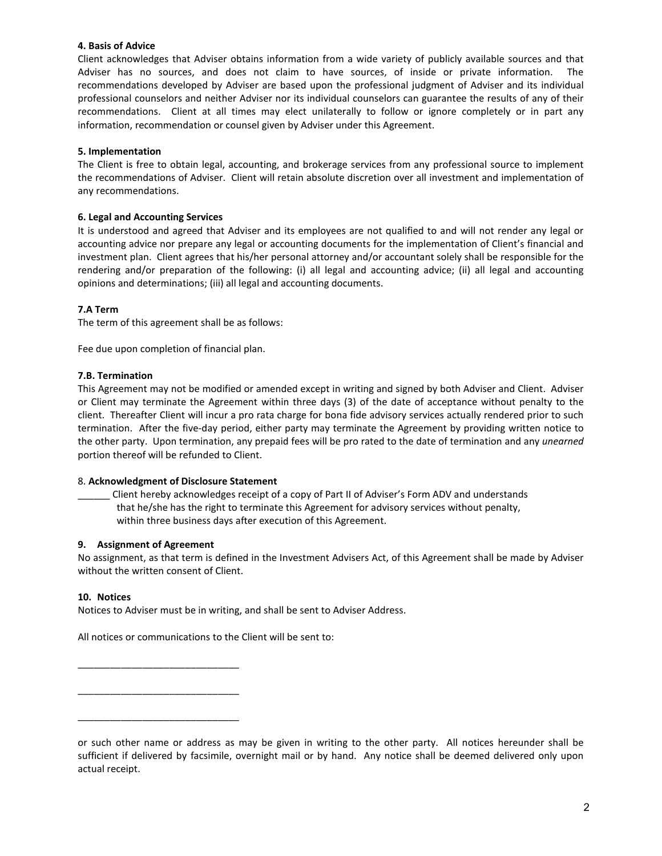## **4. Basis of Advice**

Client acknowledges that Adviser obtains information from a wide variety of publicly available sources and that Adviser has no sources, and does not claim to have sources, of inside or private information. The recommendations developed by Adviser are based upon the professional judgment of Adviser and its individual professional counselors and neither Adviser nor its individual counselors can guarantee the results of any of their recommendations. Client at all times may elect unilaterally to follow or ignore completely or in part any information, recommendation or counsel given by Adviser under this Agreement.

## **5. Implementation**

The Client is free to obtain legal, accounting, and brokerage services from any professional source to implement the recommendations of Adviser. Client will retain absolute discretion over all investment and implementation of any recommendations.

## **6. Legal and Accounting Services**

It is understood and agreed that Adviser and its employees are not qualified to and will not render any legal or accounting advice nor prepare any legal or accounting documents for the implementation of Client's financial and investment plan. Client agrees that his/her personal attorney and/or accountant solely shall be responsible for the rendering and/or preparation of the following: (i) all legal and accounting advice; (ii) all legal and accounting opinions and determinations; (iii) all legal and accounting documents.

# **7.A Term**

The term of this agreement shall be as follows:

Fee due upon completion of financial plan.

## **7.B. Termination**

This Agreement may not be modified or amended except in writing and signed by both Adviser and Client. Adviser or Client may terminate the Agreement within three days (3) of the date of acceptance without penalty to the client. Thereafter Client will incur a pro rata charge for bona fide advisory services actually rendered prior to such termination. After the five-day period, either party may terminate the Agreement by providing written notice to the other party. Upon termination, any prepaid fees will be pro rated to the date of termination and any *unearned* portion thereof will be refunded to Client.

#### 8. **Acknowledgment of Disclosure Statement**

\_\_\_\_\_\_ Client hereby acknowledges receipt of a copy of Part II of Adviser's Form ADV and understands that he/she has the right to terminate this Agreement for advisory services without penalty, within three business days after execution of this Agreement.

#### **9. Assignment of Agreement**

\_\_\_\_\_\_\_\_\_\_\_\_\_\_\_\_\_\_\_\_\_\_\_\_\_\_\_\_\_\_

\_\_\_\_\_\_\_\_\_\_\_\_\_\_\_\_\_\_\_\_\_\_\_\_\_\_\_\_\_\_

\_\_\_\_\_\_\_\_\_\_\_\_\_\_\_\_\_\_\_\_\_\_\_\_\_\_\_\_\_\_

No assignment, as that term is defined in the Investment Advisers Act, of this Agreement shall be made by Adviser without the written consent of Client.

#### **10. Notices**

Notices to Adviser must be in writing, and shall be sent to Adviser Address.

All notices or communications to the Client will be sent to:

or such other name or address as may be given in writing to the other party. All notices hereunder shall be sufficient if delivered by facsimile, overnight mail or by hand. Any notice shall be deemed delivered only upon actual receipt.